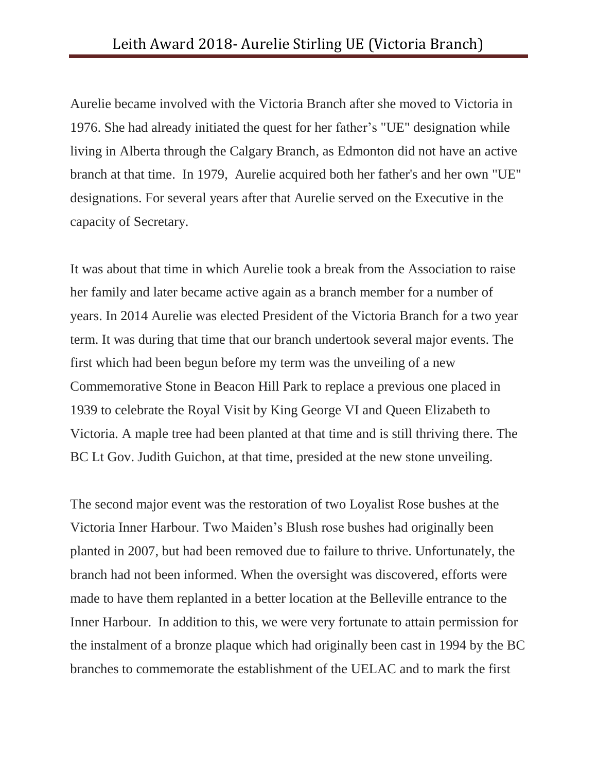Aurelie became involved with the Victoria Branch after she moved to Victoria in 1976. She had already initiated the quest for her father's "UE" designation while living in Alberta through the Calgary Branch, as Edmonton did not have an active branch at that time. In 1979, Aurelie acquired both her father's and her own "UE" designations. For several years after that Aurelie served on the Executive in the capacity of Secretary.

It was about that time in which Aurelie took a break from the Association to raise her family and later became active again as a branch member for a number of years. In 2014 Aurelie was elected President of the Victoria Branch for a two year term. It was during that time that our branch undertook several major events. The first which had been begun before my term was the unveiling of a new Commemorative Stone in Beacon Hill Park to replace a previous one placed in 1939 to celebrate the Royal Visit by King George VI and Queen Elizabeth to Victoria. A maple tree had been planted at that time and is still thriving there. The BC Lt Gov. Judith Guichon, at that time, presided at the new stone unveiling.

The second major event was the restoration of two Loyalist Rose bushes at the Victoria Inner Harbour. Two Maiden's Blush rose bushes had originally been planted in 2007, but had been removed due to failure to thrive. Unfortunately, the branch had not been informed. When the oversight was discovered, efforts were made to have them replanted in a better location at the Belleville entrance to the Inner Harbour. In addition to this, we were very fortunate to attain permission for the instalment of a bronze plaque which had originally been cast in 1994 by the BC branches to commemorate the establishment of the UELAC and to mark the first